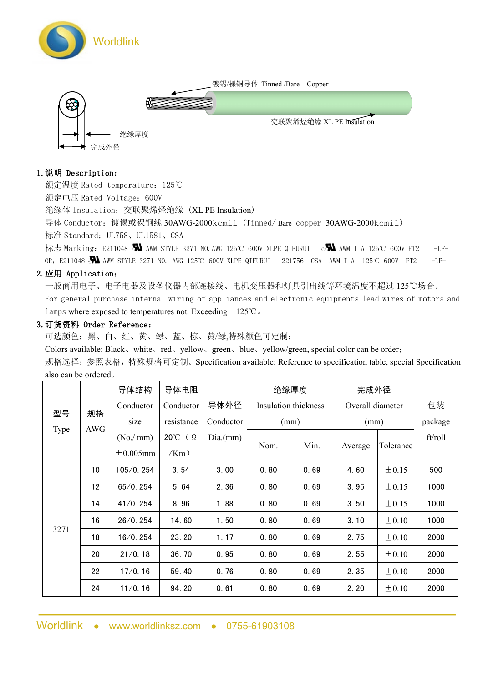

## 1.说明 Description:

额定温度 Rated temperature:125℃

额定电压 Rated Voltage:600V

绝缘体 Insulation:交联聚烯烃绝缘 (XL PE Insulation)

导体 Conductor:镀锡或裸铜线 30AWG-2000kcmil (Tinned/ Bare copper 30AWG-2000kcmil)

标准 Standard: UL758、UL1581、CSA

标志 Marking: E211048 AWM STYLE 3271 NO.AWG 125℃ 600V XLPE QIFURUI c AWM I A 125℃ 600V FT2 -LF-OR: E211048 AWM STYLE 3271 NO. AWG 125℃ 600V XLPE QIFURUI 221756 CSA AWM I A 125℃ 600V FT2 -LF-

## 2.应用 Application:

一般商用电子、电子电器及设备仪器内部连接线、电机变压器和灯具引出线等环境温度不超过 125℃场合。

For general purchase internal wiring of appliances and electronic equipments lead wires of motors and lamps where exposed to temperatures not Exceeding 125℃。

## 3.订货资料 Order Reference:

可选颜色:黑、白、红、黄、绿、蓝、棕、黄/绿,特殊颜色可定制;

Colors available: Black、white、red、yellow、green、blue、yellow/green, special color can be order;

规格选择:参照表格,特殊规格可定制。Specification available: Reference to specification table, special Specification also can be ordered。

| 型号<br>Type | 规格<br>AWG | 导体结构           | 导体电阻       |           | 绝缘厚度                 |      | 完成外径             |            |         |
|------------|-----------|----------------|------------|-----------|----------------------|------|------------------|------------|---------|
|            |           | Conductor      | Conductor  | 导体外径      | Insulation thickness |      | Overall diameter |            | 包装      |
|            |           | size           | resistance | Conductor | (mm)                 |      | (mm)             |            | package |
|            |           | (No./mm)       | 20℃ (Ω     | Dia.(mm)  | Nom.                 | Min. | Average          | Tolerance  | ft/roll |
|            |           | $\pm 0.005$ mm | /Km)       |           |                      |      |                  |            |         |
| 3271       | 10        | 105/0.254      | 3.54       | 3.00      | 0.80                 | 0.69 | 4.60             | $\pm 0.15$ | 500     |
|            | 12        | 65/0.254       | 5.64       | 2.36      | 0.80                 | 0.69 | 3.95             | $\pm 0.15$ | 1000    |
|            | 14        | 41/0.254       | 8.96       | 1.88      | 0.80                 | 0.69 | 3.50             | $\pm 0.15$ | 1000    |
|            | 16        | 26/0.254       | 14.60      | 1.50      | 0.80                 | 0.69 | 3.10             | $\pm 0.10$ | 1000    |
|            | 18        | 16/0.254       | 23.20      | 1.17      | 0.80                 | 0.69 | 2.75             | $\pm 0.10$ | 2000    |
|            | 20        | 21/0.18        | 36.70      | 0.95      | 0.80                 | 0.69 | 2.55             | $\pm 0.10$ | 2000    |
|            | 22        | 17/0.16        | 59.40      | 0.76      | 0.80                 | 0.69 | 2.35             | $\pm 0.10$ | 2000    |
|            | 24        | 11/0.16        | 94.20      | 0.61      | 0.80                 | 0.69 | 2.20             | $\pm 0.10$ | 2000    |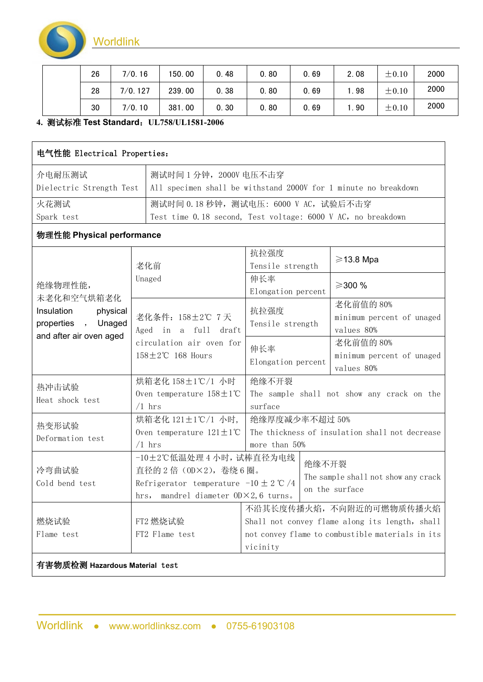

| 26 | 7/0.16         | 150.00 | 0.48 | 0.80 | 0.69 | 2.08  | $\pm 0.10$ | 2000 |
|----|----------------|--------|------|------|------|-------|------------|------|
| 28 | 127<br>$7/0$ . | 239.00 | 0.38 | 0.80 | 0.69 | l. 98 | $\pm 0.10$ | 2000 |
| 30 | 7/0.10         | 381.00 | 0.30 | 0.80 | 0.69 | 1.90  | $\pm 0.10$ | 2000 |

## **4.** 测试标准 **Test Standard**:**UL758/UL1581-2006**

| 电气性能 Electrical Properties:                                                          |                                                                                                                                                     |                                                                                                       |       |                                                                            |  |  |
|--------------------------------------------------------------------------------------|-----------------------------------------------------------------------------------------------------------------------------------------------------|-------------------------------------------------------------------------------------------------------|-------|----------------------------------------------------------------------------|--|--|
| 介电耐压测试<br>Dielectric Strength Test                                                   |                                                                                                                                                     | 测试时间 1 分钟, 2000V 电压不击穿<br>All specimen shall be withstand 2000V for 1 minute no breakdown             |       |                                                                            |  |  |
| 火花测试<br>Spark test                                                                   |                                                                                                                                                     | 测试时间 0.18 秒钟, 测试电压: 6000 V AC, 试验后不击穿<br>Test time 0.18 second, Test voltage: 6000 V AC, no breakdown |       |                                                                            |  |  |
| 物理性能 Physical performance                                                            |                                                                                                                                                     |                                                                                                       |       |                                                                            |  |  |
|                                                                                      | 老化前                                                                                                                                                 | 抗拉强度<br>Tensile strength                                                                              |       | $\geq$ 13.8 Mpa                                                            |  |  |
| 绝缘物理性能,<br>未老化和空气烘箱老化                                                                | Unaged                                                                                                                                              | 伸长率<br>Elongation percent                                                                             |       | ≥300 %                                                                     |  |  |
| Insulation<br>physical<br>Unaged<br>properties<br>$\cdot$<br>and after air oven aged | 老化条件: 158±2℃ 7天<br>Aged in a full draft                                                                                                             | 抗拉强度<br>Tensile strength                                                                              |       | 老化前值的 80%<br>minimum percent of unaged<br>values 80%                       |  |  |
|                                                                                      | circulation air oven for<br>$158 \pm 2^{\circ}$ C 168 Hours                                                                                         | 伸长率<br>Elongation percent                                                                             |       | 老化前值的 80%<br>minimum percent of unaged<br>values 80%                       |  |  |
| 热冲击试验<br>Heat shock test                                                             | 烘箱老化 158±1℃/1 小时<br>Oven temperature $158 \pm 1^{\circ}$ C<br>$/1$ hrs                                                                              | 绝缘不开裂<br>surface                                                                                      |       | The sample shall not show any crack on the                                 |  |  |
| 热变形试验<br>Deformation test                                                            | 烘箱老化 121±1℃/1 小时,<br>Oven temperature $121 \pm 1$ °C<br>$/1$ hrs                                                                                    | 绝缘厚度减少率不超过 50%<br>more than 50%                                                                       |       | The thickness of insulation shall not decrease                             |  |  |
| 冷弯曲试验<br>Cold bend test                                                              | -10±2℃低温处理 4 小时, 试棒直径为电线<br>直径的 2 倍 (0D×2), 卷绕 6 圈。<br>Refrigerator temperature $-10 \pm 2$ °C /4<br>hrs, mandrel diameter $0D \times 2$ , 6 turns. |                                                                                                       | 绝缘不开裂 | The sample shall not show any crack<br>on the surface                      |  |  |
| 燃烧试验                                                                                 | FT2 燃烧试验                                                                                                                                            |                                                                                                       |       | 不沿其长度传播火焰, 不向附近的可燃物质传播火焰<br>Shall not convey flame along its length, shall |  |  |
| Flame test                                                                           | FT2 Flame test                                                                                                                                      | not convey flame to combustible materials in its<br>vicinity                                          |       |                                                                            |  |  |
| 有害物质检测 Hazardous Material test                                                       |                                                                                                                                                     |                                                                                                       |       |                                                                            |  |  |